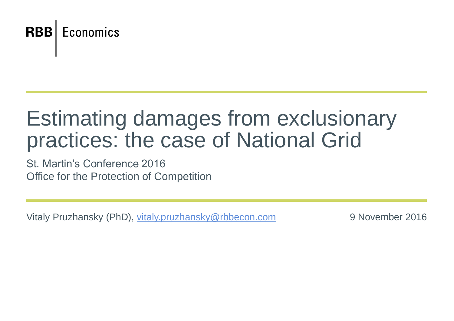

# Estimating damages from exclusionary practices: the case of National Grid

St. Martin's Conference 2016 Office for the Protection of Competition

Vitaly Pruzhansky (PhD), [vitaly.pruzhansky@rbbecon.com](mailto:vitaly.pruzhansky@rbbecon.com) 9 November 2016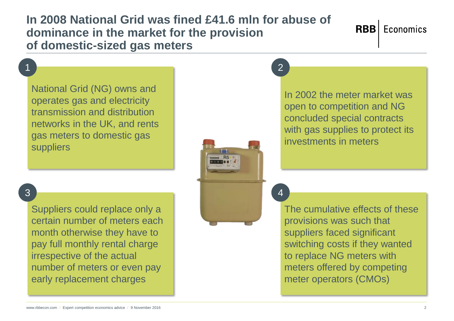#### **In 2008 National Grid was fined £41.6 mln for abuse of dominance in the market for the provision of domestic-sized gas meters**

1 and  $\overline{a}$  2

National Grid (NG) owns and operates gas and electricity transmission and distribution networks in the UK, and rents gas meters to domestic gas suppliers

### $\overline{3}$  3  $\overline{)}$  4

Suppliers could replace only a certain number of meters each month otherwise they have to pay full monthly rental charge irrespective of the actual number of meters or even pay early replacement charges

In 2002 the meter market was open to competition and NG concluded special contracts with gas supplies to protect its investments in meters

The cumulative effects of these provisions was such that suppliers faced significant switching costs if they wanted to replace NG meters with meters offered by competing meter operators (CMOs)

## **RBB** Economics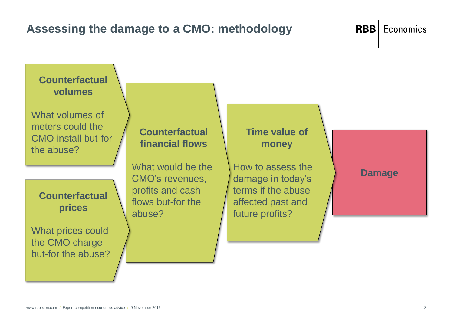#### **Assessing the damage to a CMO: methodology**



**RBB** Economics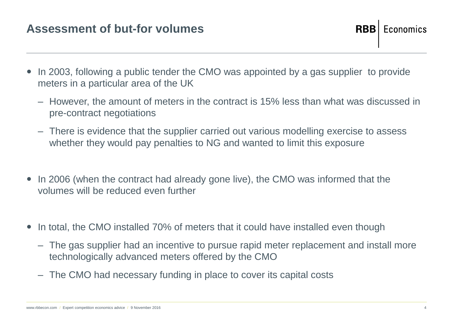#### **Assessment of but-for volumes**

- In 2003, following a public tender the CMO was appointed by a gas supplier to provide meters in a particular area of the UK
	- However, the amount of meters in the contract is 15% less than what was discussed in pre-contract negotiations
	- There is evidence that the supplier carried out various modelling exercise to assess whether they would pay penalties to NG and wanted to limit this exposure
- In 2006 (when the contract had already gone live), the CMO was informed that the volumes will be reduced even further
- In total, the CMO installed 70% of meters that it could have installed even though
	- The gas supplier had an incentive to pursue rapid meter replacement and install more technologically advanced meters offered by the CMO
	- The CMO had necessary funding in place to cover its capital costs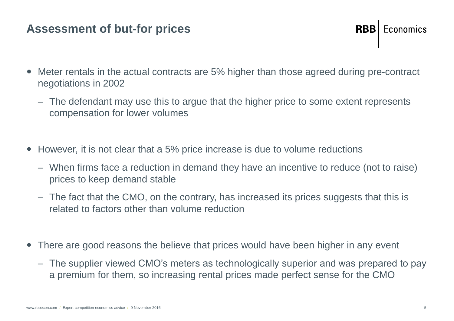#### **Assessment of but-for prices**

- Meter rentals in the actual contracts are 5% higher than those agreed during pre-contract negotiations in 2002
	- The defendant may use this to argue that the higher price to some extent represents compensation for lower volumes
- However, it is not clear that a 5% price increase is due to volume reductions
	- When firms face a reduction in demand they have an incentive to reduce (not to raise) prices to keep demand stable
	- The fact that the CMO, on the contrary, has increased its prices suggests that this is related to factors other than volume reduction
- There are good reasons the believe that prices would have been higher in any event
	- The supplier viewed CMO's meters as technologically superior and was prepared to pay a premium for them, so increasing rental prices made perfect sense for the CMO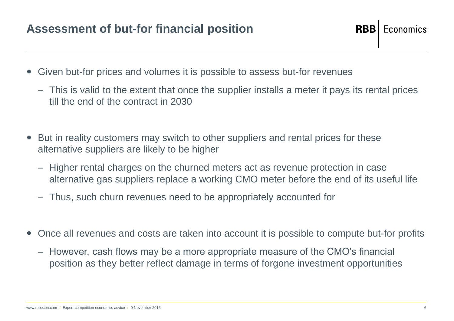- Given but-for prices and volumes it is possible to assess but-for revenues
	- This is valid to the extent that once the supplier installs a meter it pays its rental prices till the end of the contract in 2030
- But in reality customers may switch to other suppliers and rental prices for these alternative suppliers are likely to be higher
	- Higher rental charges on the churned meters act as revenue protection in case alternative gas suppliers replace a working CMO meter before the end of its useful life
	- Thus, such churn revenues need to be appropriately accounted for
- Once all revenues and costs are taken into account it is possible to compute but-for profits
	- However, cash flows may be a more appropriate measure of the CMO's financial position as they better reflect damage in terms of forgone investment opportunities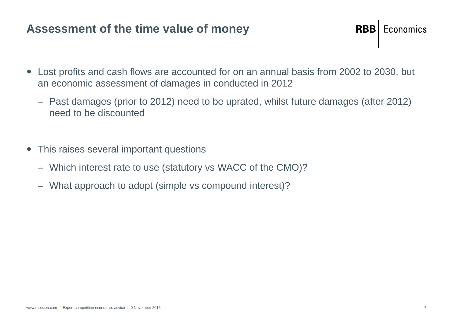#### **Assessment of the time value of money**

**RBB Economics** 

- Lost profits and cash flows are accounted for on an annual basis from 2002 to 2030, but an economic assessment of damages in conducted in 2012
	- Past damages (prior to 2012) need to be uprated, whilst future damages (after 2012) need to be discounted
- This raises several important questions
	- Which interest rate to use (statutory vs WACC of the CMO)?
	- What approach to adopt (simple vs compound interest)?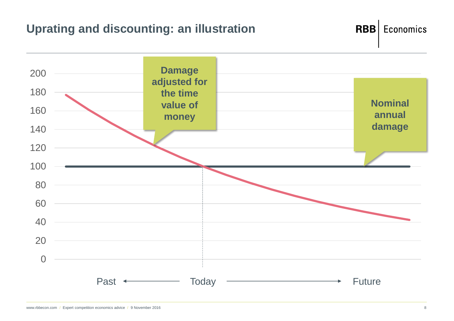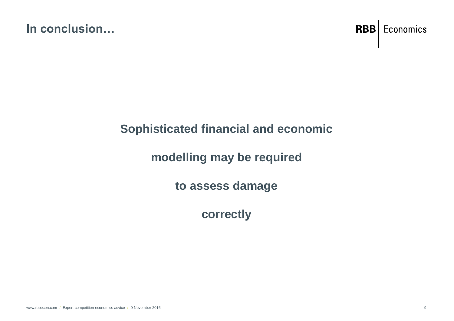

#### **Sophisticated financial and economic**

#### **modelling may be required**

**to assess damage** 

**correctly**